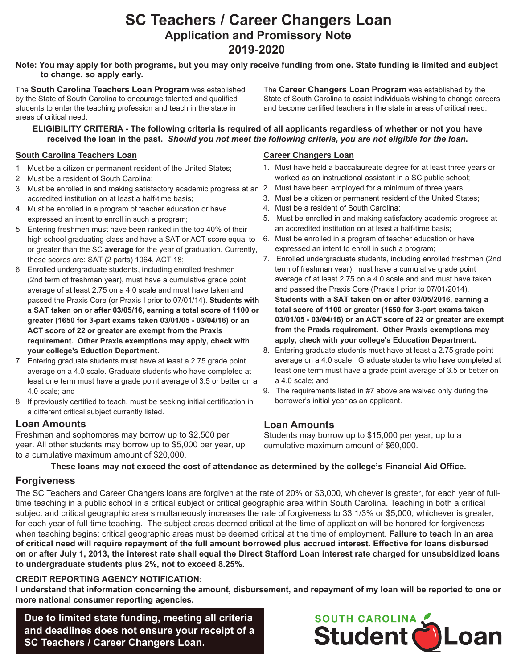# **SC Teachers / Career Changers Loan Application and Promissory Note 2019-2020**

#### **to change, so apply early. Note: You may apply for both programs, but you may only receive funding from one. State funding is limited and subject**

The **South Carolina Teachers Loan Program** was established by the State of South Carolina to encourage talented and qualified students to enter the teaching profession and teach in the state in areas of critical need.

The **Career Changers Loan Program** was established by the State of South Carolina to assist individuals wishing to change careers and become certified teachers in the state in areas of critical need.

#### **ELIGIBILITY CRITERIA - The following criteria is required of all applicants regardless of whether or not you have received the loan in the past.** *Should you not meet the following criteria, you are not eligible for the loan***.**

#### **South Carolina Teachers Loan**

- 1. Must be a citizen or permanent resident of the United States;
- 2. Must be a resident of South Carolina;
- 3. Must be enrolled in and making satisfactory academic progress at an 2. Must have been employed for a minimum of three years; accredited institution on at least a half-time basis;
- 4. Must be enrolled in a program of teacher education or have expressed an intent to enroll in such a program;
- 5. Entering freshmen must have been ranked in the top 40% of their high school graduating class and have a SAT or ACT score equal to or greater than the SC **average** for the year of graduation. Currently, these scores are: SAT (2 parts) 1064, ACT 18;
- 6. Enrolled undergraduate students, including enrolled freshmen (2nd term of freshman year), must have a cumulative grade point average of at least 2.75 on a 4.0 scale and must have taken and passed the Praxis Core (or Praxis I prior to 07/01/14). **Students with a SAT taken on or after 03/05/16, earning a total score of 1100 or greater (1650 for 3-part exams taken 03/01/05 - 03/04/16) or an ACT score of 22 or greater are exempt from the Praxis requirement. Other Praxis exemptions may apply, check with your college's Eduction Department.**
- 7. Entering graduate students must have at least a 2.75 grade point average on a 4.0 scale. Graduate students who have completed at least one term must have a grade point average of 3.5 or better on a 4.0 scale; and
- 8. If previously certified to teach, must be seeking initial certification in a different critical subject currently listed.

# **Loan Amounts**

Freshmen and sophomores may borrow up to \$2,500 per year. All other students may borrow up to \$5,000 per year, up to a cumulative maximum amount of \$20,000.

### **Career Changers Loan**

- 1. Must have held a baccalaureate degree for at least three years or worked as an instructional assistant in a SC public school;
- 
- 3. Must be a citizen or permanent resident of the United States;
- 4. Must be a resident of South Carolina;
- 5. Must be enrolled in and making satisfactory academic progress at an accredited institution on at least a half-time basis;
- 6. Must be enrolled in a program of teacher education or have expressed an intent to enroll in such a program;
- 7. Enrolled undergraduate students, including enrolled freshmen (2nd term of freshman year), must have a cumulative grade point average of at least 2.75 on a 4.0 scale and and must have taken and passed the Praxis Core (Praxis I prior to 07/01/2014). **Students with a SAT taken on or after 03/05/2016, earning a total score of 1100 or greater (1650 for 3-part exams taken 03/01/05 - 03/04/16) or an ACT score of 22 or greater are exempt from the Praxis requirement. Other Praxis exemptions may apply, check with your college's Education Department.**
- 8. Entering graduate students must have at least a 2.75 grade point average on a 4.0 scale. Graduate students who have completed at least one term must have a grade point average of 3.5 or better on a 4.0 scale; and
- 9. The requirements listed in #7 above are waived only during the borrower's initial year as an applicant.

# **Loan Amounts**

Students may borrow up to \$15,000 per year, up to a cumulative maximum amount of \$60,000.

**These loans may not exceed the cost of attendance as determined by the college's Financial Aid Office.**

# **Forgiveness**

The SC Teachers and Career Changers loans are forgiven at the rate of 20% or \$3,000, whichever is greater, for each year of fulltime teaching in a public school in a critical subject or critical geographic area within South Carolina. Teaching in both a critical subject and critical geographic area simultaneously increases the rate of forgiveness to 33 1/3% or \$5,000, whichever is greater, for each year of full-time teaching. The subject areas deemed critical at the time of application will be honored for forgiveness when teaching begins; critical geographic areas must be deemed critical at the time of employment. **Failure to teach in an area of critical need will require repayment of the full amount borrowed plus accrued interest. Effective for loans disbursed on or after July 1, 2013, the interest rate shall equal the Direct Stafford Loan interest rate charged for unsubsidized loans to undergraduate students plus 2%, not to exceed 8.25%.** 

#### **CREDIT REPORTING AGENCY NOTIFICATION:**

**I understand that information concerning the amount, disbursement, and repayment of my loan will be reported to one or more national consumer reporting agencies.**

**Due to limited state funding, meeting all criteria and deadlines does not ensure your receipt of a SC Teachers / Career Changers Loan.**

# Student DLoan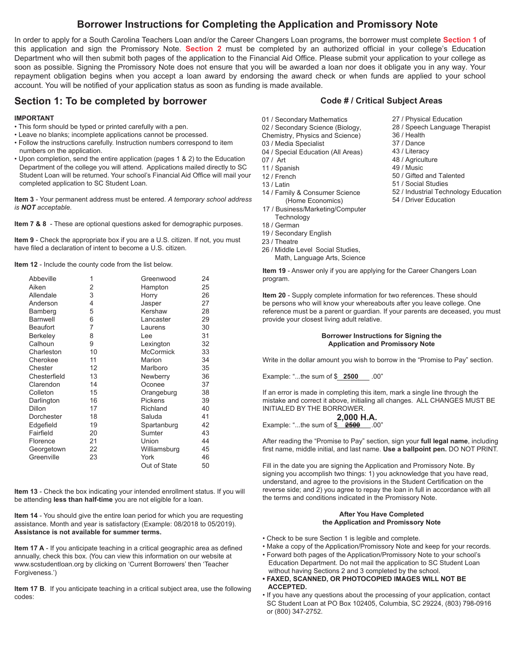# **Borrower Instructions for Completing the Application and Promissory Note**

In order to apply for a South Carolina Teachers Loan and/or the Career Changers Loan programs, the borrower must complete **Section 1** of this application and sign the Promissory Note. **Section 2** must be completed by an authorized official in your college's Education Department who will then submit both pages of the application to the Financial Aid Office. Please submit your application to your college as soon as possible. Signing the Promissory Note does not ensure that you will be awarded a loan nor does it obligate you in any way. Your repayment obligation begins when you accept a loan award by endorsing the award check or when funds are applied to your school account. You will be notified of your application status as soon as funding is made available.

## **Section 1: To be completed by borrower**

#### **IMPORTANT**

- This form should be typed or printed carefully with a pen.
- Leave no blanks; incomplete applications cannot be processed.
- Follow the instructions carefully. Instruction numbers correspond to item numbers on the application.
- Upon completion, send the entire application (pages 1 & 2) to the Education Department of the college you will attend. Applications mailed directly to SC Student Loan will be returned. Your school's Financial Aid Office will mail your completed application to SC Student Loan.

**Item 3** - Your permanent address must be entered. *A temporary school address is NOT acceptable.*

**Item 7 & 8** - These are optional questions asked for demographic purposes.

**Item 9** - Check the appropriate box if you are a U.S. citizen. If not, you must have filed a declaration of intent to become a U.S. citizen.

**Item 12** - Include the county code from the list below.

| Abbeville       | 1  | Greenwood        | 24 |
|-----------------|----|------------------|----|
| Aiken           | 2  | Hampton          | 25 |
| Allendale       | 3  | Horry            | 26 |
| Anderson        | 4  | Jasper           | 27 |
| Bamberg         | 5  | Kershaw          | 28 |
| <b>Barnwell</b> | 6  | Lancaster        | 29 |
| <b>Beaufort</b> | 7  | Laurens          | 30 |
| Berkeley        | 8  | Lee              | 31 |
| Calhoun         | 9  | Lexington        | 32 |
| Charleston      | 10 | <b>McCormick</b> | 33 |
| Cherokee        | 11 | Marion           | 34 |
| Chester         | 12 | Marlboro         | 35 |
| Chesterfield    | 13 | Newberry         | 36 |
| Clarendon       | 14 | Oconee           | 37 |
| Colleton        | 15 | Orangeburg       | 38 |
| Darlington      | 16 | Pickens          | 39 |
| <b>Dillon</b>   | 17 | Richland         | 40 |
| Dorchester      | 18 | Saluda           | 41 |
| Edgefield       | 19 | Spartanburg      | 42 |
| Fairfield       | 20 | Sumter           | 43 |
| Florence        | 21 | Union            | 44 |
| Georgetown      | 22 | Williamsburg     | 45 |
| Greenville      | 23 | York             | 46 |
|                 |    | Out of State     | 50 |

**Item 13** - Check the box indicating your intended enrollment status. If you will be attending **less than half-time** you are not eligible for a loan.

**Item 14** - You should give the entire loan period for which you are requesting assistance. Month and year is satisfactory (Example: 08/2018 to 05/2019). **Assistance is not available for summer terms.**

**Item 17 A** - If you anticipate teaching in a critical geographic area as defined annually, check this box. (You can view this information on our website at www.scstudentloan.org by clicking on 'Current Borrowers' then 'Teacher Forgiveness.')

**Item 17 B**. If you anticipate teaching in a critical subject area, use the following codes:

#### **Code # / Critical Subject Areas**

27 / Physical Education 28 / Speech Language Therapist

50 / Gifted and Talented 51 / Social Studies

54 / Driver Education

52 / Industrial Technology Education

36 / Health 37 / Dance 43 / Literacy 48 / Agriculture 49 / Music

- 01 / Secondary Mathematics
- 02 / Secondary Science (Biology,
- Chemistry, Physics and Science) 03 / Media Specialist
- 04 / Special Education (All Areas)
- 07 / Art
- 11 / Spanish
- 12 / French
- 13 / Latin
- 14 / Family & Consumer Science (Home Economics)
- 17 / Business/Marketing/Computer **Technology**
- 18 / German
- 19 / Secondary English
- 23 / Theatre
- 26 / Middle Level Social Studies, Math, Language Arts, Science

**Item 19** - Answer only if you are applying for the Career Changers Loan program.

**Item 20** - Supply complete information for two references. These should be persons who will know your whereabouts after you leave college. One reference must be a parent or guardian. If your parents are deceased, you must provide your closest living adult relative.

#### **Borrower Instructions for Signing the Application and Promissory Note**

Write in the dollar amount you wish to borrow in the "Promise to Pay" section.

Example: "...the sum of \$ **2500** .00"

If an error is made in completing this item, mark a single line through the mistake and correct it above, initialing all changes. ALL CHANGES MUST BE INITIALED BY THE BORROWER.

Example: "...the sum of \$ **2500** .00" **2,000 H.A.**

After reading the "Promise to Pay" section, sign your **full legal name**, including first name, middle initial, and last name. **Use a ballpoint pen.** DO NOT PRINT.

Fill in the date you are signing the Application and Promissory Note. By signing you accomplish two things: 1) you acknowledge that you have read, understand, and agree to the provisions in the Student Certification on the reverse side; and 2) you agree to repay the loan in full in accordance with all the terms and conditions indicated in the Promissory Note.

#### **After You Have Completed the Application and Promissory Note**

- Check to be sure Section 1 is legible and complete.
- Make a copy of the Application/Promissory Note and keep for your records.
- Forward both pages of the Application/Promissory Note to your school's Education Department. Do not mail the application to SC Student Loan without having Sections 2 and 3 completed by the school.
- **FAXED, SCANNED, OR PHOTOCOPIED IMAGES WILL NOT BE ACCEPTED.**
- If you have any questions about the processing of your application, contact SC Student Loan at PO Box 102405, Columbia, SC 29224, (803) 798-0916 or (800) 347-2752.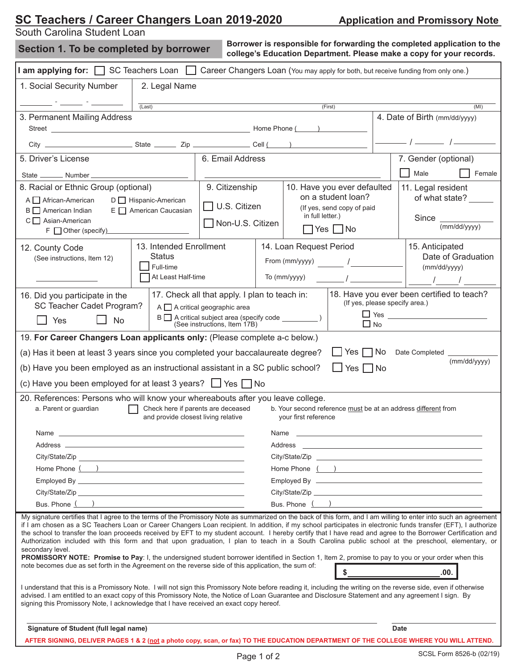# **<u>SC Teachers / Career Changers Loan 2019-2020 \_\_\_\_\_\_\_\_ Application and Promissory Note</u>**

South Carolina Student Loan

| Section 1. To be completed by borrower                                                                                                                                                                                                                     |                                                                                                       | Borrower is responsible for forwarding the completed application to the<br>college's Education Department. Please make a copy for your records. |                                                                                                                                                                                                                                |                                                                                                                           |                                                                                                                                                                                                                                                                                                                     |  |  |  |
|------------------------------------------------------------------------------------------------------------------------------------------------------------------------------------------------------------------------------------------------------------|-------------------------------------------------------------------------------------------------------|-------------------------------------------------------------------------------------------------------------------------------------------------|--------------------------------------------------------------------------------------------------------------------------------------------------------------------------------------------------------------------------------|---------------------------------------------------------------------------------------------------------------------------|---------------------------------------------------------------------------------------------------------------------------------------------------------------------------------------------------------------------------------------------------------------------------------------------------------------------|--|--|--|
| I am applying for: $\Box$ SC Teachers Loan $\Box$                                                                                                                                                                                                          |                                                                                                       |                                                                                                                                                 |                                                                                                                                                                                                                                |                                                                                                                           | Career Changers Loan (You may apply for both, but receive funding from only one.)                                                                                                                                                                                                                                   |  |  |  |
| 1. Social Security Number                                                                                                                                                                                                                                  | 2. Legal Name                                                                                         |                                                                                                                                                 |                                                                                                                                                                                                                                |                                                                                                                           |                                                                                                                                                                                                                                                                                                                     |  |  |  |
|                                                                                                                                                                                                                                                            | (Last)                                                                                                |                                                                                                                                                 |                                                                                                                                                                                                                                | (First)                                                                                                                   | (MI)                                                                                                                                                                                                                                                                                                                |  |  |  |
| 3. Permanent Mailing Address                                                                                                                                                                                                                               |                                                                                                       |                                                                                                                                                 |                                                                                                                                                                                                                                |                                                                                                                           | 4. Date of Birth (mm/dd/yyyy)                                                                                                                                                                                                                                                                                       |  |  |  |
|                                                                                                                                                                                                                                                            |                                                                                                       |                                                                                                                                                 |                                                                                                                                                                                                                                |                                                                                                                           |                                                                                                                                                                                                                                                                                                                     |  |  |  |
|                                                                                                                                                                                                                                                            |                                                                                                       |                                                                                                                                                 |                                                                                                                                                                                                                                |                                                                                                                           |                                                                                                                                                                                                                                                                                                                     |  |  |  |
| 5. Driver's License                                                                                                                                                                                                                                        |                                                                                                       | 6. Email Address                                                                                                                                |                                                                                                                                                                                                                                |                                                                                                                           | 7. Gender (optional)                                                                                                                                                                                                                                                                                                |  |  |  |
| State _________ Number _                                                                                                                                                                                                                                   |                                                                                                       |                                                                                                                                                 |                                                                                                                                                                                                                                |                                                                                                                           | Male<br>Female                                                                                                                                                                                                                                                                                                      |  |  |  |
| 8. Racial or Ethnic Group (optional)                                                                                                                                                                                                                       |                                                                                                       | 9. Citizenship                                                                                                                                  |                                                                                                                                                                                                                                | 10. Have you ever defaulted                                                                                               | 11. Legal resident                                                                                                                                                                                                                                                                                                  |  |  |  |
| A <b>A</b> frican-American                                                                                                                                                                                                                                 | D   Hispanic-American                                                                                 |                                                                                                                                                 |                                                                                                                                                                                                                                | on a student loan?                                                                                                        | of what state?                                                                                                                                                                                                                                                                                                      |  |  |  |
| $B \Box$ American Indian                                                                                                                                                                                                                                   | E   American Caucasian                                                                                | U.S. Citizen                                                                                                                                    |                                                                                                                                                                                                                                | (If yes, send copy of paid<br>in full letter.)                                                                            |                                                                                                                                                                                                                                                                                                                     |  |  |  |
| $C \Box$ Asian-American                                                                                                                                                                                                                                    |                                                                                                       |                                                                                                                                                 | Non-U.S. Citizen                                                                                                                                                                                                               | $\Box$ Yes $\Box$ No                                                                                                      | Since $\mathcal$<br>(mm/dd/yyyy)                                                                                                                                                                                                                                                                                    |  |  |  |
| F Other (specify)                                                                                                                                                                                                                                          |                                                                                                       |                                                                                                                                                 |                                                                                                                                                                                                                                |                                                                                                                           |                                                                                                                                                                                                                                                                                                                     |  |  |  |
| 12. County Code                                                                                                                                                                                                                                            | 13. Intended Enrollment                                                                               |                                                                                                                                                 |                                                                                                                                                                                                                                | 14. Loan Request Period                                                                                                   | 15. Anticipated                                                                                                                                                                                                                                                                                                     |  |  |  |
| (See instructions, Item 12)                                                                                                                                                                                                                                | <b>Status</b>                                                                                         |                                                                                                                                                 |                                                                                                                                                                                                                                | From (mm/yyyy) /                                                                                                          | Date of Graduation                                                                                                                                                                                                                                                                                                  |  |  |  |
|                                                                                                                                                                                                                                                            | Full-time<br>At Least Half-time                                                                       |                                                                                                                                                 |                                                                                                                                                                                                                                | $\sqrt{10}$ (mm/yyyy) and the set of $\sqrt{10}$                                                                          | (mm/dd/yyyy)                                                                                                                                                                                                                                                                                                        |  |  |  |
|                                                                                                                                                                                                                                                            |                                                                                                       |                                                                                                                                                 |                                                                                                                                                                                                                                |                                                                                                                           |                                                                                                                                                                                                                                                                                                                     |  |  |  |
| 16. Did you participate in the                                                                                                                                                                                                                             |                                                                                                       | 17. Check all that apply. I plan to teach in:                                                                                                   |                                                                                                                                                                                                                                |                                                                                                                           | 18. Have you ever been certified to teach?                                                                                                                                                                                                                                                                          |  |  |  |
|                                                                                                                                                                                                                                                            | (If yes, please specify area.)<br>SC Teacher Cadet Program?<br>$A \square$ A critical geographic area |                                                                                                                                                 |                                                                                                                                                                                                                                |                                                                                                                           |                                                                                                                                                                                                                                                                                                                     |  |  |  |
| $\Box$ Yes<br><b>No</b>                                                                                                                                                                                                                                    |                                                                                                       | (See instructions, Item 17B)                                                                                                                    |                                                                                                                                                                                                                                |                                                                                                                           | $\Box$ No                                                                                                                                                                                                                                                                                                           |  |  |  |
| 19. For Career Changers Loan applicants only: (Please complete a-c below.)                                                                                                                                                                                 |                                                                                                       |                                                                                                                                                 |                                                                                                                                                                                                                                |                                                                                                                           |                                                                                                                                                                                                                                                                                                                     |  |  |  |
| (a) Has it been at least 3 years since you completed your baccalaureate degree?                                                                                                                                                                            |                                                                                                       |                                                                                                                                                 |                                                                                                                                                                                                                                |                                                                                                                           | Yes No Date Completed ______                                                                                                                                                                                                                                                                                        |  |  |  |
| (b) Have you been employed as an instructional assistant in a SC public school?                                                                                                                                                                            |                                                                                                       |                                                                                                                                                 |                                                                                                                                                                                                                                | $\Box$ Yes $\Box$ No                                                                                                      | (mm/dd/yyyy)                                                                                                                                                                                                                                                                                                        |  |  |  |
|                                                                                                                                                                                                                                                            |                                                                                                       |                                                                                                                                                 |                                                                                                                                                                                                                                |                                                                                                                           |                                                                                                                                                                                                                                                                                                                     |  |  |  |
| (c) Have you been employed for at least 3 years? $\Box$ Yes $\Box$ No                                                                                                                                                                                      |                                                                                                       |                                                                                                                                                 |                                                                                                                                                                                                                                |                                                                                                                           |                                                                                                                                                                                                                                                                                                                     |  |  |  |
| 20. References: Persons who will know your whereabouts after you leave college.                                                                                                                                                                            |                                                                                                       |                                                                                                                                                 |                                                                                                                                                                                                                                |                                                                                                                           |                                                                                                                                                                                                                                                                                                                     |  |  |  |
| a. Parent or guardian                                                                                                                                                                                                                                      | Check here if parents are deceased                                                                    |                                                                                                                                                 |                                                                                                                                                                                                                                | b. Your second reference must be at an address different from<br>and provide closest living relative your first reference |                                                                                                                                                                                                                                                                                                                     |  |  |  |
|                                                                                                                                                                                                                                                            |                                                                                                       |                                                                                                                                                 |                                                                                                                                                                                                                                |                                                                                                                           |                                                                                                                                                                                                                                                                                                                     |  |  |  |
|                                                                                                                                                                                                                                                            |                                                                                                       |                                                                                                                                                 | Name and the contract of the contract of the contract of the contract of the contract of the contract of the contract of the contract of the contract of the contract of the contract of the contract of the contract of the c |                                                                                                                           |                                                                                                                                                                                                                                                                                                                     |  |  |  |
|                                                                                                                                                                                                                                                            |                                                                                                       |                                                                                                                                                 |                                                                                                                                                                                                                                |                                                                                                                           |                                                                                                                                                                                                                                                                                                                     |  |  |  |
|                                                                                                                                                                                                                                                            |                                                                                                       |                                                                                                                                                 | Home Phone ( )                                                                                                                                                                                                                 |                                                                                                                           |                                                                                                                                                                                                                                                                                                                     |  |  |  |
| Home Phone ( )                                                                                                                                                                                                                                             |                                                                                                       |                                                                                                                                                 |                                                                                                                                                                                                                                |                                                                                                                           |                                                                                                                                                                                                                                                                                                                     |  |  |  |
|                                                                                                                                                                                                                                                            |                                                                                                       |                                                                                                                                                 |                                                                                                                                                                                                                                |                                                                                                                           |                                                                                                                                                                                                                                                                                                                     |  |  |  |
| Bus. Phone $\begin{pmatrix} 1 & 1 \\ 1 & 1 \end{pmatrix}$                                                                                                                                                                                                  |                                                                                                       |                                                                                                                                                 |                                                                                                                                                                                                                                | Bus. Phone $($ $)$                                                                                                        |                                                                                                                                                                                                                                                                                                                     |  |  |  |
|                                                                                                                                                                                                                                                            |                                                                                                       |                                                                                                                                                 |                                                                                                                                                                                                                                |                                                                                                                           | My signature certifies that I agree to the terms of the Promissory Note as summarized on the back of this form, and I am willing to enter into such an agreement                                                                                                                                                    |  |  |  |
|                                                                                                                                                                                                                                                            |                                                                                                       |                                                                                                                                                 |                                                                                                                                                                                                                                |                                                                                                                           | if I am chosen as a SC Teachers Loan or Career Changers Loan recipient. In addition, if my school participates in electronic funds transfer (EFT), I authorize                                                                                                                                                      |  |  |  |
|                                                                                                                                                                                                                                                            |                                                                                                       |                                                                                                                                                 |                                                                                                                                                                                                                                |                                                                                                                           | the school to transfer the loan proceeds received by EFT to my student account. I hereby certify that I have read and agree to the Borrower Certification and<br>Authorization included with this form and that upon graduation, I plan to teach in a South Carolina public school at the preschool, elementary, or |  |  |  |
| secondary level.                                                                                                                                                                                                                                           |                                                                                                       |                                                                                                                                                 |                                                                                                                                                                                                                                |                                                                                                                           |                                                                                                                                                                                                                                                                                                                     |  |  |  |
| PROMISSORY NOTE: Promise to Pay: I, the undersigned student borrower identified in Section 1, Item 2, promise to pay to you or your order when this<br>note becomes due as set forth in the Agreement on the reverse side of this application, the sum of: |                                                                                                       |                                                                                                                                                 |                                                                                                                                                                                                                                |                                                                                                                           |                                                                                                                                                                                                                                                                                                                     |  |  |  |
|                                                                                                                                                                                                                                                            |                                                                                                       |                                                                                                                                                 |                                                                                                                                                                                                                                | $\sim$                                                                                                                    | .00.                                                                                                                                                                                                                                                                                                                |  |  |  |
| advised. I am entitled to an exact copy of this Promissory Note, the Notice of Loan Guarantee and Disclosure Statement and any agreement I sign. By<br>signing this Promissory Note, I acknowledge that I have received an exact copy hereof.              |                                                                                                       |                                                                                                                                                 |                                                                                                                                                                                                                                |                                                                                                                           | I understand that this is a Promissory Note. I will not sign this Promissory Note before reading it, including the writing on the reverse side, even if otherwise                                                                                                                                                   |  |  |  |
|                                                                                                                                                                                                                                                            |                                                                                                       |                                                                                                                                                 |                                                                                                                                                                                                                                |                                                                                                                           |                                                                                                                                                                                                                                                                                                                     |  |  |  |
| Signature of Student (full legal name)                                                                                                                                                                                                                     |                                                                                                       |                                                                                                                                                 |                                                                                                                                                                                                                                |                                                                                                                           | <b>Date</b>                                                                                                                                                                                                                                                                                                         |  |  |  |
|                                                                                                                                                                                                                                                            |                                                                                                       |                                                                                                                                                 |                                                                                                                                                                                                                                |                                                                                                                           | AFTER SIGNING, DELIVER PAGES 1 & 2 (not a photo copy, scan, or fax) TO THE EDUCATION DEPARTMENT OF THE COLLEGE WHERE YOU WILL ATTEND.                                                                                                                                                                               |  |  |  |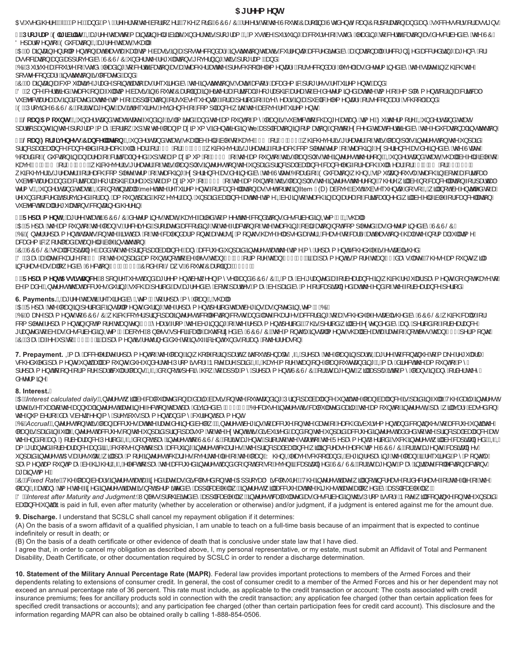#### **51 fYYa Ybh**

ŒÁ∙^åÁ@¦^ÉÄLÖBÄK ^ÄÉza}åÄK ^ÄÁ^~\Á{Áq@Áa[¦¦[ ^¦ÈÁV@Á[¦åÄÄÙÔÙŠÔÄÁ^~\•Á{Áq@ÁJ[ ˇo@ÁÒæ{|āæÁUčå^}ofŠ[æ}ÁÖ]¦][¦ææã}Áæ}åÁæ}^Á ˇ&&^•[¦•Á¦Áæ•æ}∙È

%"Dfc[fUaJ9`][]V|`]hmtWQbet¦^^Ao@eaAyíAjænajænéA|ânānacéA}}å^¦Ao@eAj¦\*lasfÈXQAjve^o&n^4`¦•`ā\*AeaAsjYe-An{anacéA}anajyAaeAana-AanacéAlOA On] add ( n } oh 40a 8aea } Blobet In Acceed Con Ceel HA

ODEDÁTæna,cænajÁ}¦[|{^}oÁ}ÁænaÁYæno-óAexí@ea}+Ëa]^ÁsæraĭÁ§ÁænÁ[∙or^&[}àæa^á}éozãŭ}Á{mélmé\lovánamé}{mélméquentamé}&rådo^}&^ÅziÁjÁ æ•[&ææq[}Áæ}åÁæ]]¦[ç^åÁâ^ÁÙÔÙŠÔÁ}å^¦Áv@A^\*\*|ææq[}•Á[ç^¦}ā}\*Áv@ah{¦[\*¦æ{LÁæ}åÁ

QODW'l•`^bd&N'i•^A-Ac'å^A^adat\*AfA&^¦cãæceat}Andre&B@¦AndrAQJWRAY^}cafBhlA^8{}åas^A^c^|Band&^A^c^{{a^åAs^A@ce^AgA\_@&@Ace l[•o•^&l}åæb^Á§∙oãčoã}ÁsnÁl&æe^åLÁse}åÁ

CODATana)anaka Kanaka (Yanang∧Atlana∖A [a]cA anan{Ase A^``ā^åAa^Ao2^A§•onačoq{}©A ananéanaka anaka {^Ao4A^``ā^{^}or Laa-ja/ CÖDÁU)&VÁ&V¦cãaPåBókræ&@Á}Áæók`||EqīvÁaærãÁ§ÁÙ[ˇo@ĂÔæaE||āæ4§Árā@vlÁæsAázaA4AzA4{\$Avá&araA4{\@W{{A{√A}{{|[´{^}dÉn¦ÁasAsaA4}\ • `àb^&d<del>&d</del>^æn<del>&o</del>n§åa3eæ^åAenek@^Aa{^n{~Aa}]|a3eaa{}Ek\lA `à•^``^}d^EA{¦AaqA^!a{n{~Aa{^A^æ}•^每Aen{\`a|a2kA|^{^}cne^^{\!Al^&{}åae}^&Q?[|LAa}å/ (CODÁU¦[çãA^ÁUÔÙŠÔÕÃ]¦ÁãoAæt^}oðãæeÁãÁ∧Ÿ ã^∙ðÁvçãA}&YÁ{-4&{{]|ãæ}&^Á ão@Áozèn{c^Á∧\* ˇã^{^}orÈ

**&"@cUb5acibhgm**iXQ\$å^¦•œa}åÁn@enArcee^A^}åa}\*Án4Q{@{@raédéaa}àÁn@*h*an{{}^{{\an}An{^`àb%choq{&@a}\*^Áanaba}^{a}^EnZy}{|¦^ÉnQQ}{{}^eca}åÁn@enA ]adca8a]aook§u koozAil\*iaotAia-kaikalil[A]ka[cook]aoakjaasaalika Aspolaakaikala waxaalika waxaalaa kwamaalika w

**/R@Ub:cf[]jYbYgg#7UbWY`Ur]cbĚQ**Š}å^¦•œ}å*k@ebQ*k@eb|Aa^A|ãã|^Aj*A@eç^A*GEÃÁ¦ÁH<del>ÊCC</del>ĒÁ @B@ç^¦ÁaÁ¦^æ?¦ËÁ√@@Á|æ}Á¦°•Á§c^¦^•oÁ}Á@Á}]æãÁ ]¦@}@#\@adag`&\|\&a}&\|\åA{¦Axa&@A`||Á^adâ{;hFEA{|;AAFÉEEEÂ{@B&@^ç^¦^{@`A{\^aaz^!EA{|Axa&@\$&[{]|^c^^{e^{{{~Ac^a&@\$`A^c}^{\&}&^~a}^å^&^^&@^AJcaac^A OlæåÁÁÒà &a1)∯Áa)Áa)ÁaA a4Naazaa∯∧^åÉÍJÁdÁ æaz (ÁÁF∈€ÃÁÁo @Aaz [ˇ)ọÁÁozhA @A A | ^Áozhosón@(^[)EÁQÁ)å^¦^œa}åÁozaonQáozaqhé∧Á |zräl^ÁdÁ @ac^ÁHAFEDHÃÁ¦ÁÁÍÊ<del>CC</del>ÉÁ @ac⊘c^¦Áa Á¦^ae^¦ÉÁ⊹Á@áÁ∣asÀ∫`•Á§c^¦^•óÁ}Á@á}}jasãÁ¦ā&a]a4Áàadaa}&^&as20^áÁ¦¦Áaad㦦ÁÂâé∰Á¦ÁAdHÃÁ¦ÁÁÔÉ€EÁ , @2k@c∧¦/beAt¦∧æc^¦EN{¦Aræ&@A&{{]|^c^Ac^¦{Ar~Ac^æ&@}\*A¢|^¦a^}&^Aera^Ag^a/an^A@^AU@acAQ{ana{AQa`&æaq{}A}@}AQa{`|œa}^[`●|^Ac^æ&@A§Aa[o@AeaA&aña&ae4 •`àb&obea^aaba}åAaa&laã&aaA¤^[\*¦aa}@a&baa^aaA]A{Aaa4{aaa{`{A[-AF∈∈A A[-Ao@Aaa{[`}o4{-A@A]A[}A}A@{^{^}}}@\^{^{A]Aa}A^A [Asaa}&^||aaa{}}A{¦A}aadaaa} c^l{●BQX}å^l●cao}åAo@eo%ExQ&b[A[o%Bjãnaa4]^Ame^ox\@A^``ã^{^}orA{l&so}&^∥aoa\$}}&oeA^o4{lo@AS}Altem F(D)æà[ç^Bà`oA^`àn^`\*^}q^&a[A[BQ2\ã]A][o&n^A}cãn^âA{Aea ¦^~`}åA{¦&a'/^åãnA¦[çãi^âA{¦Aaa}^kaa{[ˇ}on}aaãlA@},^ç^¦Baaa}A`A}]aaãAãaadaa}&YAaaab@Aaã{AQ&AaaqAaabaaq&AoporaniAQ\$Q#Q#Q\$Q\$Q}{aaaq}}AQ\$Q\$Q\$Q}{aaaq}}AQ\$Q\$Q\$Q\$Q\$Q\$Q\${}{ • `àb^&oAn[Áœn]|Á^\* `|æaāj}•Á&[}cæāj^åÁ@^¦^ājÈ

("**FYdUmaYbh'Áðus'**¦^^Áv@anÁaÚÔÙŠÔÁå^c^¦{}}^•Áv@enÁQÁ@aq^Áœa{YåÁq{Á{^^odx@^Á&[}åãq{}•Áå^•&lãa^åÁ§ÁQ2^{*F*FÉÁQÁ{@aqHK OCEDÑ V]æ Áv@Aae[')on[√ao@A[æ]GDÁ∧&^ãp^åÉn}l[æ^åÁæ&&[¦åa}\*Á{Áo@Á∀æ&&@}\Á\_àqlãæqã}Á[o/&[{]|^c^åÉæe√ã^c^¦{a}^åÁà^ÁÙÔÙŠÔÈ (QDO)vNANaS{^\ohcae`•A}A@Aa•ofaeó Ar-A@Asen\åaeA[}o@Aeec\AasA[}o@A@ec^A|aa•^åAeec\Adexae^AfAsea}^&eaH^aedA}^E@a+A@A[¦a+A`||EaT^A an Bandary { a Ro [ |\ || and Annededy A |a mail |^ Anjo and a } E

QÔDŴÔÙŠỐÁ @aajÁsaa]ãadã∧ÁQaaåáÁqíÁs@Á¦ã&a]adÁaadaa}&^DÁaa}≧ána&&\°^åá}]aaãÁq}⊗√^{wedko@Aázi^A{^{v}of&@a`|^ÁsÁ∙eaaa]ã@áÈ 'CODODE Anahane^&@et\*^A ĀÃĂÁØÁ}]asãnAe{[`}dÃ[dol{Áa^Á∧••Á@e}ÁAÏÈEÁ¦Á[¦^Á@e}ÁFÌĚEÁæh}æ{`^}ofa{[¦^Á@e}Á=EÁaæ`eÁæe^ÉA/@`•^Áea{[`}orÁā||Á ā}& ^æ∙^Áæ∙Áæ|| ^åÁà^ÁÙ^&œ{}Á~Hˆ⊞€JÉÁÔ [å^Á, √Šæ;∙ÉÁJ[ˇo@ÁÔæ¦|ā}æÁQFJÏÎDÈ

**)"FYdUma Ybh5gq]gHJbWY"ÁV||}Á^`\*^●œ́<del>bà</del>åæé¦^^{^}@â^c,^^}Á^^•^|-éæàåÂÙÔÙŠÔÉKQÁæô @**i^A{¦æào\*a{éeq{}{kà^æàæ}&^Q\$Á, @@k@A^\*\*|æàÁæâ{^}oro&líA{of@eqc^A\$fÁ an Át æan Bong Mychund (An Garabasa) "n• Áa" ¦a \* Á "da an Áat ¦a a fá ha mai ha mai ha mai ha mai ha mai ha mai ha mai ha mai ha mai ha mai ha mai ha mai ha mai ha mai ha mai ha mai ha mai ha mai ha mai ha mai ha mai ha m

#### 6. Payments.*A*Det<sup>1</sup>^^ Ár@eo<sup>r</sup>sá^<sup>\*</sup>\* ã^å/à<sup>\*</sup> ÁQ\*{ Á Á tí Á^]æ Á ^ Á ta BÁ Ó @ealK

CCEDAU^]æîAc@^A[æ}A§A}^¦ą̃åa&A§●cæa¦{^}orAs`¦a}\*Ac@^A^]æ^{^}o^}^¦aĵåAc@eaAs\^\*a}●Ase^A}[c^åA§AQ^{AlCODI CODNTæ\^A,æ{^}orA{AUOUSOA,@2&@A&[ç^¦A¦¦a}&a]æ#Bo}^•oB&8[||^&a{}}A&[●oAæ}åAæe^A&@ea\*^●Aæ&&]å@ka\*@a&ja@ea AnioUSOA,@2&@A&a^AUOUSOA,@2&@A@ea{} &{]|^c^A^]æ{^}o\$}A[o{[¦^&@e}&^}GEDA^æ•A|{&@^&^\*z}}#\*A~&@^A^]æ{^}o}^¦{åzBA/@sA^¦{å&}@{}@A^@^}à^å&^&e}^A^¦{åa{A{¦à^æ}æ}&^ \*læ}o^åA{Aà^AærAâ^•&læà^åA§AQ^{A\Aæà[ç^EAW}|^••A]^&ãa3cae|^AeŏoQ}lã^åAà^AJOUSOEA©^A{[}oQ?A§•cae|{^}orA^@ae|Aà^Aæn3eaAæe^A{-A{OA^••Ao@ae}Abl€A^¦A{[}oQ QÒDÙ de ÁdaA^^Á]ÁNIÁN CÍBEEÁD de {^}o<sup>ng</sup>Á^c (}^åÁN <sup>v</sup> ^á, Ani Áni o "~a38an}o 4 Y å •Á ¦Áda)^Á o @ ¦Á^ær [}È

**7. Prepayment. Q**( $\otimes$  & kas&x |^¦æx A^] æ{^}on{~ko@A[ae}B&A @|^A{|&{A ædA{@&q&Q{\^}ae}Ca\Q{\^}|}@{A ædA{Q&q}{Q}^A{{A æ\^A^\*`|æ|^A VFKHGXOHGSD\PHQWVXQWLODOODPRXQWVGXHXQGHUWKH3URPLVVRU\1RWHDUHSDLG,I,KDYHPRUHWKDQRQHORDQRXWVWDQGLQJ,PD\GLUHFWWKHDPRXQWRIP\ ]¦^]æ{^}o&q{A}^A{¦A{[|^A{ædaX`|æd-A[ao}•¤AQAKQab{A[oA^]^&a^AQ},Aq{Aq}]|`A{^A}|^]æ{{^}dBUOUŠOQB{¦Ane Aæd^}orB{aq}hqa}{aq}n{Aq}oq}^A{¦a^¦Aq@^A å^c^¦{ ã^È

#### **8. Interest.**

CŒÚmterest calculated dailyKQQc¦^∙oÁ ╣Áà^*k*&a&ˇ|æºåẤ∤*ka*sân ÂàæãĂ} Á@Áˇorœàå \*ÁĴ¦ậ&∄ælÁàæka}&YÅ{@∰&åæå&vÆÂæ∰ælÃ&¦∭BÁV@Áâæãj´Á§c^¦^∙oÁ lær\ãnAY`adh)h@ohan}`adhāo\¦^•chazvhānA~^8dh}ho@zehāasânAaârhhliEdiEKO^8as•^kāo\¦^•dãnksad&alazmin‰laashanka [Y}dhi4ão\^•dQlash]akas^haze^ank}h o@Á ˇ{à^¦Á-Áäæ•Áà^ς ^^}Á ^Á¦^çã ˇ•Áæ{^}oÁæ)åÁ{ ^Á&ˇ¦¦^}oÁæ{^}cÈ

CODA CcrualhQQc¦^•oA}Ac@n{{a}Aa&&¦^^eAaex@Aae^Aj^a}^a`Aq^{[,EAQc'¦^•o&^\*a}●A{Aa&&¦^^A}}&@^&`aex{A-aa&@&ia`a`¦•^{^}oba}a`A&{}a}`^eA{Aa&&}`^A}aAk@*}* |[aa}AärAjanabanAk||BAQuc'¦^•obaa&\`^•A}Ao2A}]aaãnA¦a}&a]aaA`{Aq{Ao2Acc^}oAanaFakaia`¦•^åBaa}åA}Ao2A}]aaãnaa&&\`^åAajc^¦^•oAanaå^åAq{Ao2A}¦a}&a]aanAaaaaa}&^Aana WGAYaAHADAQHaAaad&AUYalaBQQAQGHALdAaeAqdYoloogADOUSOBAHQorQashyoBhlaHaqAangAacadaAo@AUYaqeAnydUMaaBAS&GQQqdoloodalaAaAaedaadaAaBAQQQ aet Átlaa)c^áÁtlà^adaa)&^Áaa}å/ÁaafÁd&@J[•^Á[détÁlaê/Áaa8&Yā]\*Áne^kork@aad\*^•É&@^Átājā@#Áaada}&^Ája@A^Aan@@AajA^}@#AmyorÉ&aa]äada^•Á `}]æãnÁngc¦^•dáOEÁndÁ^•`|dánQi4]AjæîA[|^Angc¦^•oKs@ds^^•Ajç^¦An@AjaXAjÁn@AjaneYAjKq?qq\AqqanakhoraqQqlaqiAnovoqnoqna memboridaqinAnovoqnoqnoqnoqnoqnoqqnoqqq ]æ{^}obe{[`}o^{æ^éa^Á@Z@{}EkQAKQeY^Acokq{Aæ&}^a&&&\^^aA§c^{^\*obe}a&[A[O^&[A[Ek^ç^}&&Ger}a&Ba@q}^aA{}{D&G}}&&G{}\*A ađanal∙oÁ∖^LÄ

QODÆixe*d Ratek*Á/@Á[æ}Ás^æ•Á§c¦^•o<del>&æ&á</del>@^åÁæs^&eÁã&[|•^åÁ}Á@ÁCE]¦[çæþŐã&[|•`¦^BÁV@Á§c¦^•óÁæs^Á ä|Á[o\$§&^æ•^Á¦Ás^&¦^æ•^Á¦¦Á@Áã^Á-Á@Á |[ag béQéædeg ^ Ácq ^ Ác@ Ááβ^åÁg c^¦^• chae^Áe h[cj^¦{ ãc^åÁg^Áe}]|a3eae]^Aæq Éág c^¦^• chják&&¦ ^ Áædh@ Ácat @• chae^ÁeH[ ^ à Ág ^ Áeg]|a3eae]^Aæq Èh **ÖDM**hterest after Maturity and Judgment:ÁVj|^••Á¦[@não^å/a^}]a&caà|^4ae ٱ@qc}\•o/&aa&caanaber&^•&ān^å/@jAŭj{{ã•[i^ÁÞ[c^Á a]/&{}}&mâA}]asaaÁ}]asaaÁ} aaa) & A i a<sup>ft</sup> is paid in full, even after maturity (whether by acceleration or otherwise) and/or judgment, if a judgment is entered against me for the amount due.

**9. Discharge.** I understand that SCSLC shall cancel my repayment obligation if it determines:

(A) On the basis of a sworn affidavit of a qualified physician, I am unable to teach on a full-time basis because of an impairment that is expected to continue indefinitely or result in death; or

(B) On the basis of a death certificate or other evidence of death that is conclusive under state law that I have died.

I agree that, in order to cancel my obligation as described above, I, my personal representative, or my estate, must submit an Affidavit of Total and Permanent Disability, Death Certificate, or other documentation required by SCSLC in order to render a discharge determination.

**10. Statement of the Military Annual Percentage Rate (MAPR)**. Federal law provides important protections to members of the Armed Forces and their dependents relating to extensions of consumer credit. In general, the cost of consumer credit to a member of the Armed Forces and his or her dependent may not exceed an annual percentage rate of 36 percent. This rate must include, as applicable to the credit transaction or account: The costs associated with credit insurance premiums; fees for ancillary products sold in connection with the credit transaction; any application fee charged (other than certain application fees for specified credit transactions or accounts); and any participation fee charged (other than certain participation fees for credit card account). This disclosure and the information regarding MAPR can also be obtained orally b calling 1-888-854-0506.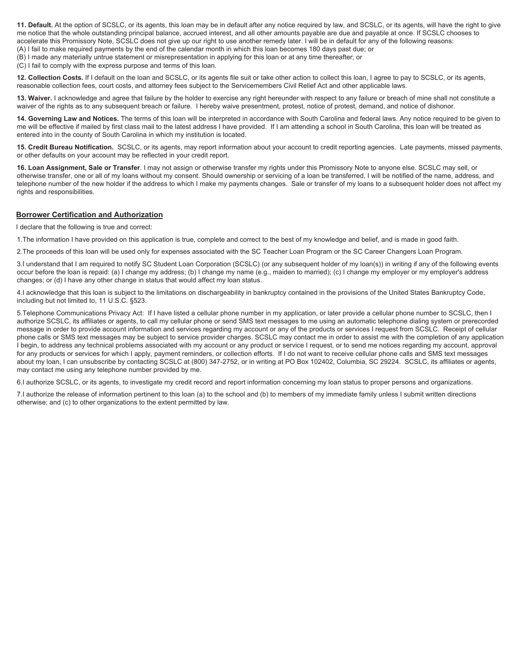**11. Default.** At the option of SCSLC, or its agents, this loan may be in default after any notice required by law, and SCSLC, or its agents, will have the right to give me notice that the whole outstanding principal balance, accrued interest, and all other amounts payable are due and payable at once. If SCSLC chooses to accelerate this Promissory Note, SCSLC does not give up our right to use another remedy later. I will be in default for any of the following reasons: (A) I fail to make required payments by the end of the calendar month in which this loan becomes 180 days past due; or

(B) I made any materially untrue statement or misrepresentation in applying for this loan or at any time thereafter; or

(C) I fail to comply with the express purpose and terms of this loan.

**12. Collection Costs.** If I default on the loan and SCSLC, or its agents file suit or take other action to collect this loan, I agree to pay to SCSLC, or its agents, reasonable collection fees, court costs, and attorney fees subject to the Servicemembers Civil Relief Act and other applicable laws.

**13. Waiver.** I acknowledge and agree that failure by the holder to exercise any right hereunder with respect to any failure or breach of mine shall not constitute a waiver of the rights as to any subsequent breach or failure. I hereby waive presentment, protest, notice of protest, demand, and notice of dishonor.

**14. Governing Law and Notices.** The terms of this loan will be interpreted in accordance with South Carolina and federal laws. Any notice required to be given to me will be effective if mailed by first class mail to the latest address I have provided. If I am attending a school in South Carolina, this loan will be treated as entered into in the county of South Carolina in which my institution is located.

**15. Credit Bureau Notification.** SCSLC, or its agents, may report information about your account to credit reporting agencies. Late payments, missed payments, or other defaults on your account may be reflected in your credit report.

**16. Loan Assignment, Sale or Transfer**. I may not assign or otherwise transfer my rights under this Promissory Note to anyone else. SCSLC may sell, or otherwise transfer, one or all of my loans without my consent. Should ownership or servicing of a loan be transferred, I will be notified of the name, address, and telephone number of the new holder if the address to which I make my payments changes. Sale or transfer of my loans to a subsequent holder does not affect my rights and responsibilities.

#### **Borrower Certification and Authorization**

I declare that the following is true and correct:

1.The information I have provided on this application is true, complete and correct to the best of my knowledge and belief, and is made in good faith.

2.The proceeds of this loan will be used only for expenses associated with the SC Teacher Loan Program or the SC Career Changers Loan Program.

3.I understand that I am required to notify SC Student Loan Corporation (SCSLC) (or any subsequent holder of my loan(s)) in writing if any of the following events occur before the loan is repaid: (a) I change my address; (b) I change my name (e.g., maiden to married); (c) I change my employer or my employer's address changes; or (d) I have any other change in status that would affect my loan status.

4.I acknowledge that this loan is subject to the limitations on dischargeability in bankruptcy contained in the provisions of the United States Bankruptcy Code, including but not limited to, 11 U.S.C. §523.

5.Telephone Communications Privacy Act: If I have listed a cellular phone number in my application, or later provide a cellular phone number to SCSLC, then I authorize SCSLC, its affiliates or agents, to call my cellular phone or send SMS text messages to me using an automatic telephone dialing system or prerecorded message in order to provide account information and services regarding my account or any of the products or services I request from SCSLC. Receipt of cellular phone calls or SMS text messages may be subject to service provider charges. SCSLC may contact me in order to assist me with the completion of any application I begin, to address any technical problems associated with my account or any product or service I request, or to send me notices regarding my account, approval for any products or services for which I apply, payment reminders, or collection efforts. If I do not want to receive cellular phone calls and SMS text messages about my loan, I can unsubscribe by contacting SCSLC at (800) 347-2752, or in writing at PO Box 102402, Columbia, SC 29224. SCSLC, its affiliates or agents, may contact me using any telephone number provided by me.

6.I authorize SCSLC, or its agents, to investigate my credit record and report information concerning my loan status to proper persons and organizations.

7.I authorize the release of information pertinent to this loan (a) to the school and (b) to members of my immediate family unless I submit written directions otherwise; and (c) to other organizations to the extent permitted by law.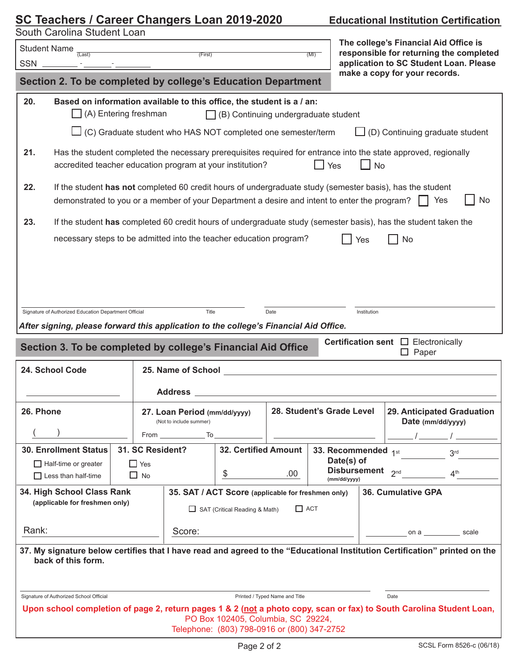# **SC Teachers / Career Changers Loan 201 Educational Institution Certification**

<u> 1989 - Andrea Station Barbara, amerikan personal (h. 1989).</u><br>1900 - Andrea Station Barbara, president eta biztanleria (h. 1900).

Student Name  $\frac{1}{(Last)}$  (First) (First) (MI)

South Carolina Student Loan

SSN<sub>\_</sub>

| The college's Financial Aid Office is   |  |  |  |  |
|-----------------------------------------|--|--|--|--|
| responsible for returning the completed |  |  |  |  |
| application to SC Student Loan. Please  |  |  |  |  |
| make a copy for your records.           |  |  |  |  |

|                                                                                                                                                                                                                                | Section 2. To be completed by college's Education Department                                           |  |                                             |                                                           |                                                                                   |      | make a copy for your records.                   |                                  |                                                                                                                              |
|--------------------------------------------------------------------------------------------------------------------------------------------------------------------------------------------------------------------------------|--------------------------------------------------------------------------------------------------------|--|---------------------------------------------|-----------------------------------------------------------|-----------------------------------------------------------------------------------|------|-------------------------------------------------|----------------------------------|------------------------------------------------------------------------------------------------------------------------------|
| 20.<br>Based on information available to this office, the student is a / an:<br>$\Box$ (A) Entering freshman<br>$\Box$ (B) Continuing undergraduate student                                                                    |                                                                                                        |  |                                             |                                                           |                                                                                   |      |                                                 |                                  |                                                                                                                              |
|                                                                                                                                                                                                                                | $\Box$ (C) Graduate student who HAS NOT completed one semester/term<br>(D) Continuing graduate student |  |                                             |                                                           |                                                                                   |      |                                                 |                                  |                                                                                                                              |
| 21.                                                                                                                                                                                                                            | accredited teacher education program at your institution?                                              |  |                                             |                                                           |                                                                                   |      | $\Box$ Yes                                      |                                  | Has the student completed the necessary prerequisites required for entrance into the state approved, regionally<br><b>No</b> |
| 22.<br>If the student has not completed 60 credit hours of undergraduate study (semester basis), has the student<br>demonstrated to you or a member of your Department a desire and intent to enter the program?<br>No         |                                                                                                        |  |                                             |                                                           |                                                                                   |      |                                                 |                                  |                                                                                                                              |
| 23.                                                                                                                                                                                                                            |                                                                                                        |  |                                             |                                                           |                                                                                   |      |                                                 |                                  | If the student has completed 60 credit hours of undergraduate study (semester basis), has the student taken the              |
|                                                                                                                                                                                                                                | necessary steps to be admitted into the teacher education program?                                     |  |                                             |                                                           |                                                                                   |      |                                                 | Yes                              | <b>No</b>                                                                                                                    |
|                                                                                                                                                                                                                                | Signature of Authorized Education Department Official                                                  |  |                                             | Title                                                     |                                                                                   | Date |                                                 | Institution                      |                                                                                                                              |
|                                                                                                                                                                                                                                | After signing, please forward this application to the college's Financial Aid Office.                  |  |                                             |                                                           |                                                                                   |      |                                                 |                                  |                                                                                                                              |
| <b>Certification sent</b> $\Box$ Electronically<br>Section 3. To be completed by college's Financial Aid Office<br>$\Box$ Paper                                                                                                |                                                                                                        |  |                                             |                                                           |                                                                                   |      |                                                 |                                  |                                                                                                                              |
| 24. School Code<br>25. Name of School and the state of the state of School                                                                                                                                                     |                                                                                                        |  |                                             |                                                           |                                                                                   |      |                                                 |                                  |                                                                                                                              |
| Address and the contract of the contract of the contract of the contract of the contract of the contract of the contract of the contract of the contract of the contract of the contract of the contract of the contract of th |                                                                                                        |  |                                             |                                                           |                                                                                   |      |                                                 |                                  |                                                                                                                              |
|                                                                                                                                                                                                                                | 26. Phone                                                                                              |  | (Not to include summer)                     | 28. Student's Grade Level<br>27. Loan Period (mm/dd/yyyy) |                                                                                   |      | 29. Anticipated Graduation<br>Date (mm/dd/yyyy) |                                  |                                                                                                                              |
|                                                                                                                                                                                                                                |                                                                                                        |  |                                             | From To                                                   |                                                                                   |      |                                                 |                                  |                                                                                                                              |
|                                                                                                                                                                                                                                | 31. SC Resident?<br><b>30. Enrollment Status</b>                                                       |  |                                             | 32. Certified Amount   33. Recommended 1st<br>Date(s) of  |                                                                                   |      | 3 <sup>rd</sup>                                 |                                  |                                                                                                                              |
|                                                                                                                                                                                                                                | $\Box$ Half-time or greater<br>$\Box$ Less than half-time                                              |  | $\Box$ Yes<br>$\Box$ No                     |                                                           | \$                                                                                | .00. |                                                 | Disbursement 2nd<br>(mm/dd/yyyy) | ⊿th                                                                                                                          |
|                                                                                                                                                                                                                                | 34. High School Class Rank                                                                             |  |                                             |                                                           | 35. SAT / ACT Score (applicable for freshmen only)                                |      |                                                 |                                  | 36. Cumulative GPA                                                                                                           |
| (applicable for freshmen only)                                                                                                                                                                                                 |                                                                                                        |  | $\Box$ ACT<br>SAT (Critical Reading & Math) |                                                           |                                                                                   |      |                                                 |                                  |                                                                                                                              |
| Rank:                                                                                                                                                                                                                          |                                                                                                        |  |                                             | Score:                                                    |                                                                                   |      |                                                 | scale<br>on $a \sim a$           |                                                                                                                              |
| 37. My signature below certifies that I have read and agreed to the "Educational Institution Certification" printed on the<br>back of this form.                                                                               |                                                                                                        |  |                                             |                                                           |                                                                                   |      |                                                 |                                  |                                                                                                                              |
| Signature of Authorized School Official<br>Printed / Typed Name and Title<br>Date                                                                                                                                              |                                                                                                        |  |                                             |                                                           |                                                                                   |      |                                                 |                                  |                                                                                                                              |
|                                                                                                                                                                                                                                |                                                                                                        |  |                                             |                                                           |                                                                                   |      |                                                 |                                  |                                                                                                                              |
|                                                                                                                                                                                                                                |                                                                                                        |  |                                             |                                                           | PO Box 102405, Columbia, SC 29224,<br>Telephone: (803) 798-0916 or (800) 347-2752 |      |                                                 |                                  | Upon school completion of page 2, return pages 1 & 2 (not a photo copy, scan or fax) to South Carolina Student Loan,         |